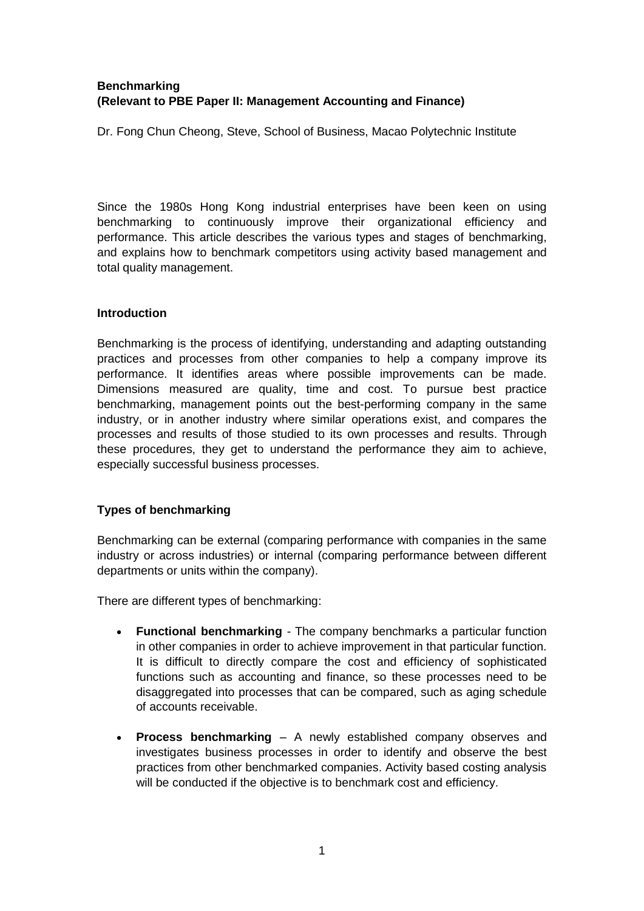# **Benchmarking (Relevant to PBE Paper II: Management Accounting and Finance)**

Dr. Fong Chun Cheong, Steve, School of Business, Macao Polytechnic Institute

Since the 1980s Hong Kong industrial enterprises have been keen on using benchmarking to continuously improve their organizational efficiency and performance. This article describes the various types and stages of benchmarking, and explains how to benchmark competitors using activity based management and total quality management.

### **Introduction**

Benchmarking is the process of identifying, understanding and adapting outstanding practices and processes from other companies to help a company improve its performance. It identifies areas where possible improvements can be made. Dimensions measured are quality, time and cost. To pursue best practice benchmarking, management points out the best-performing company in the same industry, or in another industry where similar operations exist, and compares the processes and results of those studied to its own processes and results. Through these procedures, they get to understand the performance they aim to achieve, especially successful business processes.

## **Types of benchmarking**

Benchmarking can be external (comparing performance with companies in the same industry or across industries) or internal (comparing performance between different departments or units within the company).

There are different types of benchmarking:

- **Functional benchmarking** The company benchmarks a particular function in other companies in order to achieve improvement in that particular function. It is difficult to directly compare the cost and efficiency of sophisticated functions such as accounting and finance, so these processes need to be disaggregated into processes that can be compared, such as aging schedule of accounts receivable.
- **Process benchmarking** A newly established company observes and investigates business processes in order to identify and observe the best practices from other benchmarked companies. Activity based costing analysis will be conducted if the objective is to benchmark cost and efficiency.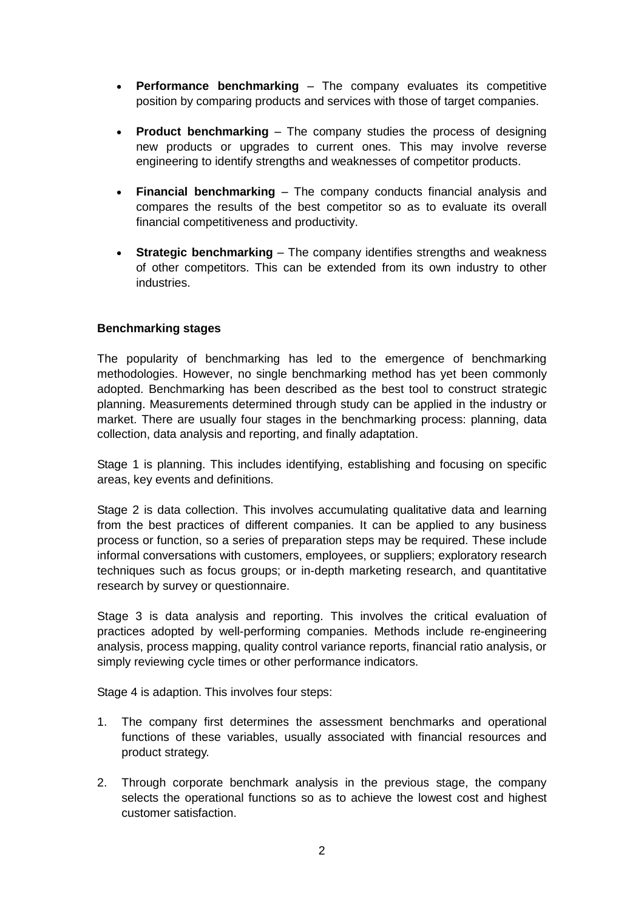- **Performance benchmarking** The company evaluates its competitive position by comparing products and services with those of target companies.
- **Product benchmarking** The company studies the process of designing new products or upgrades to current ones. This may involve reverse engineering to identify strengths and weaknesses of competitor products.
- **Financial benchmarking** The company conducts financial analysis and compares the results of the best competitor so as to evaluate its overall financial competitiveness and productivity.
- **Strategic benchmarking** The company identifies strengths and weakness of other competitors. This can be extended from its own industry to other industries.

#### **Benchmarking stages**

The popularity of benchmarking has led to the emergence of benchmarking methodologies. However, no single benchmarking method has yet been commonly adopted. Benchmarking has been described as the best tool to construct strategic planning. Measurements determined through study can be applied in the industry or market. There are usually four stages in the benchmarking process: planning, data collection, data analysis and reporting, and finally adaptation.

Stage 1 is planning. This includes identifying, establishing and focusing on specific areas, key events and definitions.

Stage 2 is data collection. This involves accumulating qualitative data and learning from the best practices of different companies. It can be applied to any business process or function, so a series of preparation steps may be required. These include informal conversations with customers, employees, or suppliers; [exploratory research](http://en.wikipedia.org/wiki/Qualitative_marketing_research) techniques such as [focus groups;](http://en.wikipedia.org/wiki/Focus_group) or in-depth [marketing research,](http://en.wikipedia.org/wiki/Marketing_research) and [quantitative](http://en.wikipedia.org/wiki/Quantitative_marketing_research)  [research](http://en.wikipedia.org/wiki/Quantitative_marketing_research) by [survey](http://en.wikipedia.org/wiki/Statistical_survey) or [questionnaire.](http://en.wikipedia.org/wiki/Questionnaire_construction)

Stage 3 is data analysis and reporting. This involves the critical evaluation of practices adopted by well-performing companies. Methods include re-engineering analysis, process mapping, quality control variance reports, financial ratio analysis, or simply reviewing cycle times or other performance indicators.

Stage 4 is adaption. This involves four steps:

- 1. The company first determines the assessment benchmarks and operational functions of these variables, usually associated with financial resources and product strategy.
- 2. Through corporate benchmark analysis in the previous stage, the company selects the operational functions so as to achieve the lowest cost and highest customer satisfaction.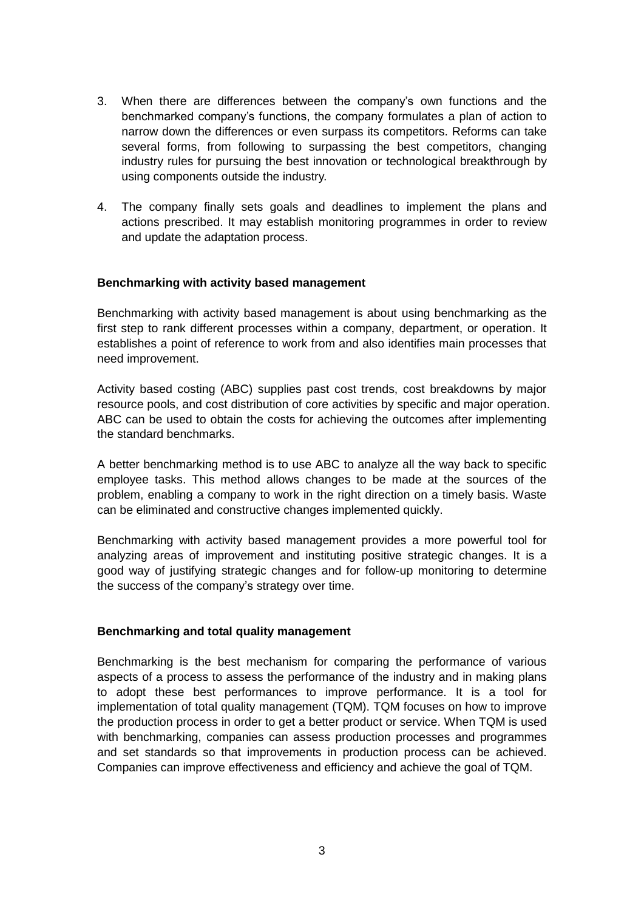- 3. When there are differences between the company's own functions and the benchmarked company's functions, the company formulates a plan of action to narrow down the differences or even surpass its competitors. Reforms can take several forms, from following to surpassing the best competitors, changing industry rules for pursuing the best innovation or technological breakthrough by using components outside the industry.
- 4. The company finally sets goals and deadlines to implement the plans and actions prescribed. It may establish monitoring programmes in order to review and update the adaptation process.

#### **Benchmarking with activity based management**

Benchmarking with activity based management is about using benchmarking as the first step to rank different processes within a company, department, or operation. It establishes a point of reference to work from and also identifies main processes that need improvement.

Activity based costing (ABC) supplies past cost trends, cost breakdowns by major resource pools, and cost distribution of core activities by specific and major operation. ABC can be used to obtain the costs for achieving the outcomes after implementing the standard benchmarks.

A better benchmarking method is to use ABC to analyze all the way back to specific employee tasks. This method allows changes to be made at the sources of the problem, enabling a company to work in the right direction on a timely basis. Waste can be eliminated and constructive changes implemented quickly.

Benchmarking with activity based management provides a more powerful tool for analyzing areas of improvement and instituting positive strategic changes. It is a good way of justifying strategic changes and for follow-up monitoring to determine the success of the company's strategy over time.

#### **Benchmarking and total quality management**

Benchmarking is the best mechanism for comparing the performance of various aspects of a process to assess the performance of the industry and in making plans to adopt these best performances to improve performance. It is a tool for implementation of total quality management (TQM). TQM focuses on how to improve the production process in order to get a better product or service. When TQM is used with benchmarking, companies can assess production processes and programmes and set standards so that improvements in production process can be achieved. Companies can improve effectiveness and efficiency and achieve the goal of TQM.